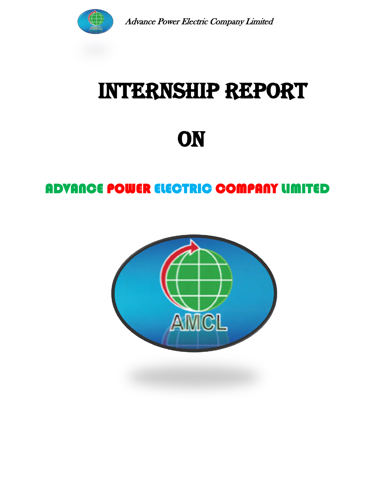

# INTERNSHIP REPORT

**ON** 

## ADVANCE POWER ELECTRIC COMPANY LIMITED

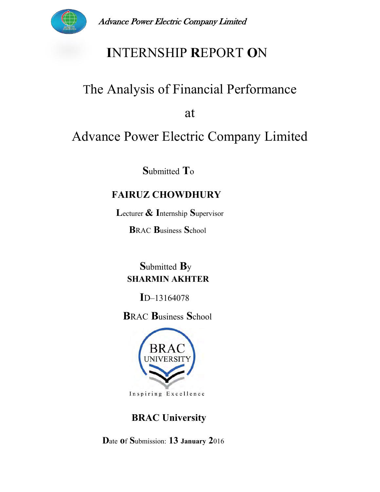

## **INTERNSHIP REPORT ON**

## The Analysis of Financial Performance

at

# Advance Power Electric Company Limited

Submitted To

#### **FAIRUZ CHOWDHURY**

Lecturer & Internship Supervisor

**BRAC Business School** 

Submitted By **SHARMIN AKHTER** 

 $ID-13164078$ 

**BRAC Business School** 



Inspiring Excellence

#### **BRAC University**

Date of Submission: 13 January 2016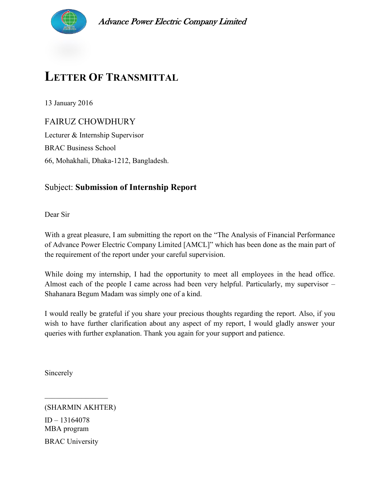

## **LETTER OF TRANSMITTAL**

13 January 2016

FAIRUZ CHOWDHURY

Lecturer & Internship Supervisor BRAC Business School 66, Mohakhali, Dhaka-1212, Bangladesh.

#### Subject: **Submission of Internship Report**

Dear Sir

With a great pleasure, I am submitting the report on the "The Analysis of Financial Performance of Advance Power Electric Company Limited [AMCL]" which has been done as the main part of the requirement of the report under your careful supervision.

While doing my internship, I had the opportunity to meet all employees in the head office. Almost each of the people I came across had been very helpful. Particularly, my supervisor – Shahanara Begum Madam was simply one of a kind.

I would really be grateful if you share your precious thoughts regarding the report. Also, if you wish to have further clarification about any aspect of my report, I would gladly answer your queries with further explanation. Thank you again for your support and patience.

Sincerely

(SHARMIN AKHTER)

 $\mathcal{L}=\mathcal{L}=\mathcal{L}=\mathcal{L}=\mathcal{L}=\mathcal{L}=\mathcal{L}=\mathcal{L}=\mathcal{L}=\mathcal{L}=\mathcal{L}=\mathcal{L}=\mathcal{L}=\mathcal{L}=\mathcal{L}=\mathcal{L}=\mathcal{L}=\mathcal{L}=\mathcal{L}=\mathcal{L}=\mathcal{L}=\mathcal{L}=\mathcal{L}=\mathcal{L}=\mathcal{L}=\mathcal{L}=\mathcal{L}=\mathcal{L}=\mathcal{L}=\mathcal{L}=\mathcal{L}=\mathcal{L}=\mathcal{L}=\mathcal{L}=\mathcal{L}=\mathcal{L}=\mathcal{$ 

ID – 13164078 MBA program BRAC University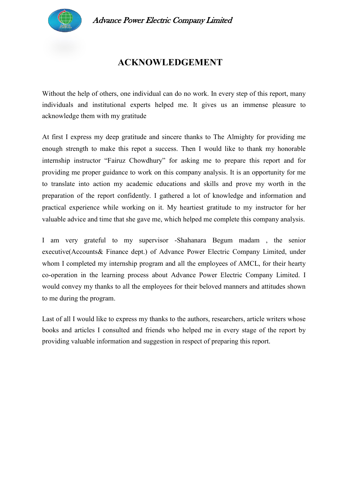

#### **ACKNOWLEDGEMENT**

Without the help of others, one individual can do no work. In every step of this report, many individuals and institutional experts helped me. It gives us an immense pleasure to acknowledge them with my gratitude

At first I express my deep gratitude and sincere thanks to The Almighty for providing me enough strength to make this repot a success. Then I would like to thank my honorable internship instructor "Fairuz Chowdhury" for asking me to prepare this report and for providing me proper guidance to work on this company analysis. It is an opportunity for me to translate into action my academic educations and skills and prove my worth in the preparation of the report confidently. I gathered a lot of knowledge and information and practical experience while working on it. My heartiest gratitude to my instructor for her valuable advice and time that she gave me, which helped me complete this company analysis.

I am very grateful to my supervisor -Shahanara Begum madam , the senior executive(Accounts& Finance dept.) of Advance Power Electric Company Limited, under whom I completed my internship program and all the employees of AMCL, for their hearty co-operation in the learning process about Advance Power Electric Company Limited. I would convey my thanks to all the employees for their beloved manners and attitudes shown to me during the program.

Last of all I would like to express my thanks to the authors, researchers, article writers whose books and articles I consulted and friends who helped me in every stage of the report by providing valuable information and suggestion in respect of preparing this report.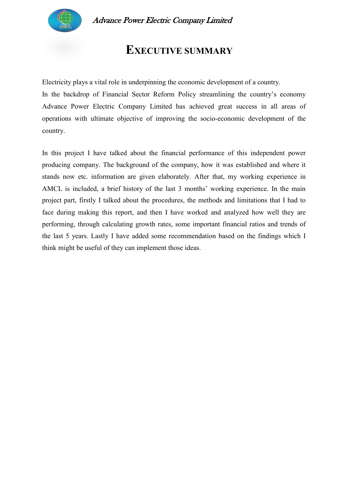

### **EXECUTIVE SUMMARY**

Electricity plays a vital role in underpinning the economic development of a country.

In the backdrop of Financial Sector Reform Policy streamlining the country's economy Advance Power Electric Company Limited has achieved great success in all areas of operations with ultimate objective of improving the socio-economic development of the country.

In this project I have talked about the financial performance of this independent power producing company. The background of the company, how it was established and where it stands now etc. information are given elaborately. After that, my working experience in AMCL is included, a brief history of the last 3 months' working experience. In the main project part, firstly I talked about the procedures, the methods and limitations that I had to face during making this report, and then I have worked and analyzed how well they are performing, through calculating growth rates, some important financial ratios and trends of the last 5 years. Lastly I have added some recommendation based on the findings which I think might be useful of they can implement those ideas.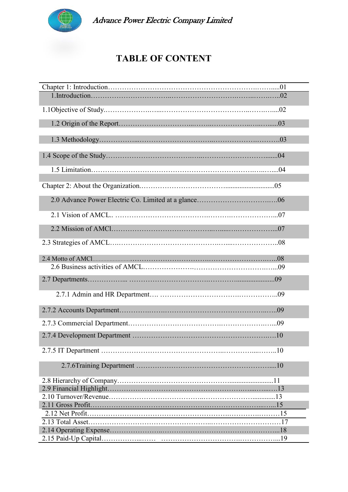

#### **TABLE OF CONTENT**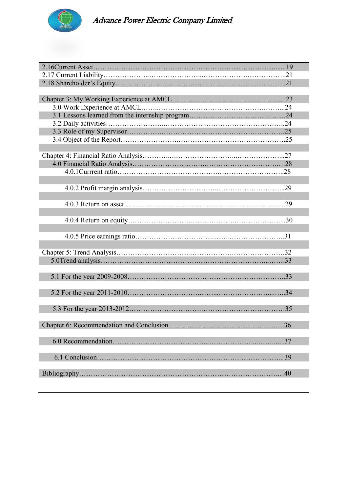

| 37 |
|----|
|    |
| 39 |
|    |
| 40 |
|    |